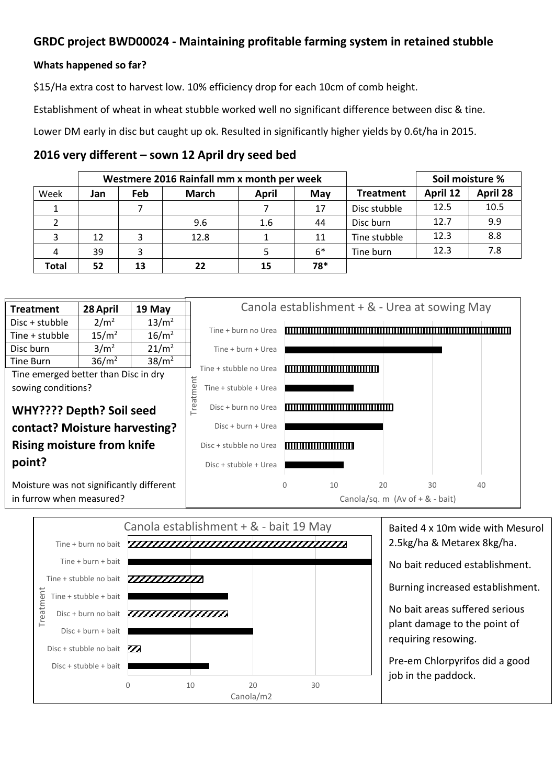## **GRDC project BWD00024 - Maintaining profitable farming system in retained stubble**

## **Whats happened so far?**

\$15/Ha extra cost to harvest low. 10% efficiency drop for each 10cm of comb height.

Establishment of wheat in wheat stubble worked well no significant difference between disc & tine.

Lower DM early in disc but caught up ok. Resulted in significantly higher yields by 0.6t/ha in 2015.

## **2016 very different – sown 12 April dry seed bed**

|       | Westmere 2016 Rainfall mm x month per week |     |              |       |      |                  | Soil moisture % |                 |
|-------|--------------------------------------------|-----|--------------|-------|------|------------------|-----------------|-----------------|
| Week  | Jan                                        | Feb | <b>March</b> | April | May  | <b>Treatment</b> | April 12        | <b>April 28</b> |
|       |                                            |     |              |       | 17   | Disc stubble     | 12.5            | 10.5            |
|       |                                            |     | 9.6          | 1.6   | 44   | Disc burn        | 12.7            | 9.9             |
| 3     | 12                                         | 3   | 12.8         |       | 11   | Tine stubble     | 12.3            | 8.8             |
| 4     | 39                                         | 3   |              |       | $6*$ | Tine burn        | 12.3            | 7.8             |
| Total | 52                                         | 13  | 22           | 15    | 78*  |                  |                 |                 |